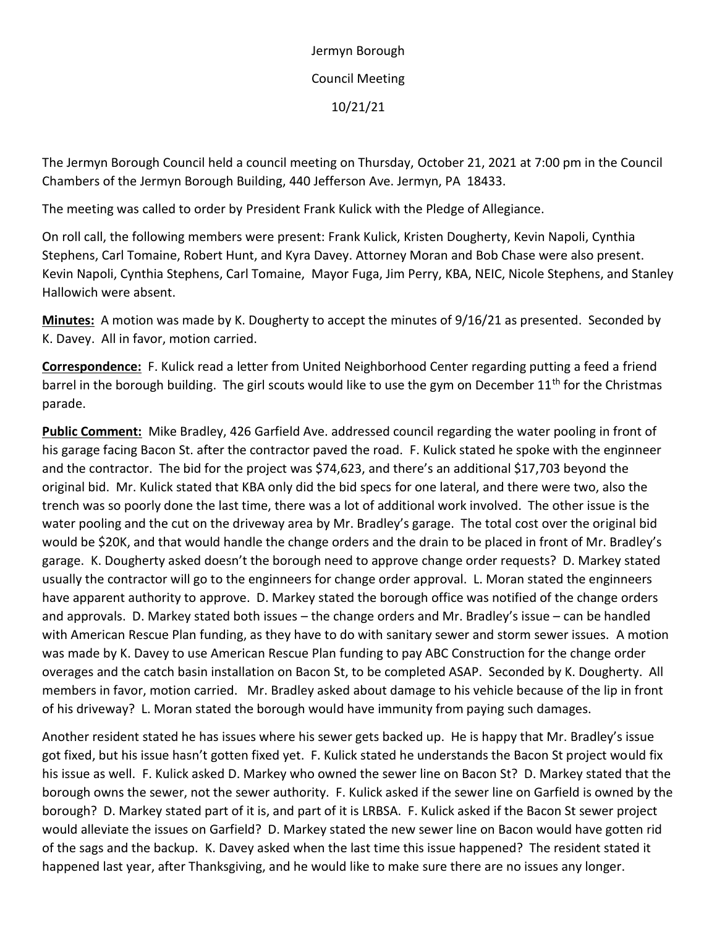Jermyn Borough Council Meeting 10/21/21

The Jermyn Borough Council held a council meeting on Thursday, October 21, 2021 at 7:00 pm in the Council Chambers of the Jermyn Borough Building, 440 Jefferson Ave. Jermyn, PA 18433.

The meeting was called to order by President Frank Kulick with the Pledge of Allegiance.

On roll call, the following members were present: Frank Kulick, Kristen Dougherty, Kevin Napoli, Cynthia Stephens, Carl Tomaine, Robert Hunt, and Kyra Davey. Attorney Moran and Bob Chase were also present. Kevin Napoli, Cynthia Stephens, Carl Tomaine, Mayor Fuga, Jim Perry, KBA, NEIC, Nicole Stephens, and Stanley Hallowich were absent.

**Minutes:** A motion was made by K. Dougherty to accept the minutes of 9/16/21 as presented. Seconded by K. Davey. All in favor, motion carried.

**Correspondence:** F. Kulick read a letter from United Neighborhood Center regarding putting a feed a friend barrel in the borough building. The girl scouts would like to use the gym on December 11<sup>th</sup> for the Christmas parade.

**Public Comment:** Mike Bradley, 426 Garfield Ave. addressed council regarding the water pooling in front of his garage facing Bacon St. after the contractor paved the road. F. Kulick stated he spoke with the enginneer and the contractor. The bid for the project was \$74,623, and there's an additional \$17,703 beyond the original bid. Mr. Kulick stated that KBA only did the bid specs for one lateral, and there were two, also the trench was so poorly done the last time, there was a lot of additional work involved. The other issue is the water pooling and the cut on the driveway area by Mr. Bradley's garage. The total cost over the original bid would be \$20K, and that would handle the change orders and the drain to be placed in front of Mr. Bradley's garage. K. Dougherty asked doesn't the borough need to approve change order requests? D. Markey stated usually the contractor will go to the enginneers for change order approval. L. Moran stated the enginneers have apparent authority to approve. D. Markey stated the borough office was notified of the change orders and approvals. D. Markey stated both issues – the change orders and Mr. Bradley's issue – can be handled with American Rescue Plan funding, as they have to do with sanitary sewer and storm sewer issues. A motion was made by K. Davey to use American Rescue Plan funding to pay ABC Construction for the change order overages and the catch basin installation on Bacon St, to be completed ASAP. Seconded by K. Dougherty. All members in favor, motion carried. Mr. Bradley asked about damage to his vehicle because of the lip in front of his driveway? L. Moran stated the borough would have immunity from paying such damages.

Another resident stated he has issues where his sewer gets backed up. He is happy that Mr. Bradley's issue got fixed, but his issue hasn't gotten fixed yet. F. Kulick stated he understands the Bacon St project would fix his issue as well. F. Kulick asked D. Markey who owned the sewer line on Bacon St? D. Markey stated that the borough owns the sewer, not the sewer authority. F. Kulick asked if the sewer line on Garfield is owned by the borough? D. Markey stated part of it is, and part of it is LRBSA. F. Kulick asked if the Bacon St sewer project would alleviate the issues on Garfield? D. Markey stated the new sewer line on Bacon would have gotten rid of the sags and the backup. K. Davey asked when the last time this issue happened? The resident stated it happened last year, after Thanksgiving, and he would like to make sure there are no issues any longer.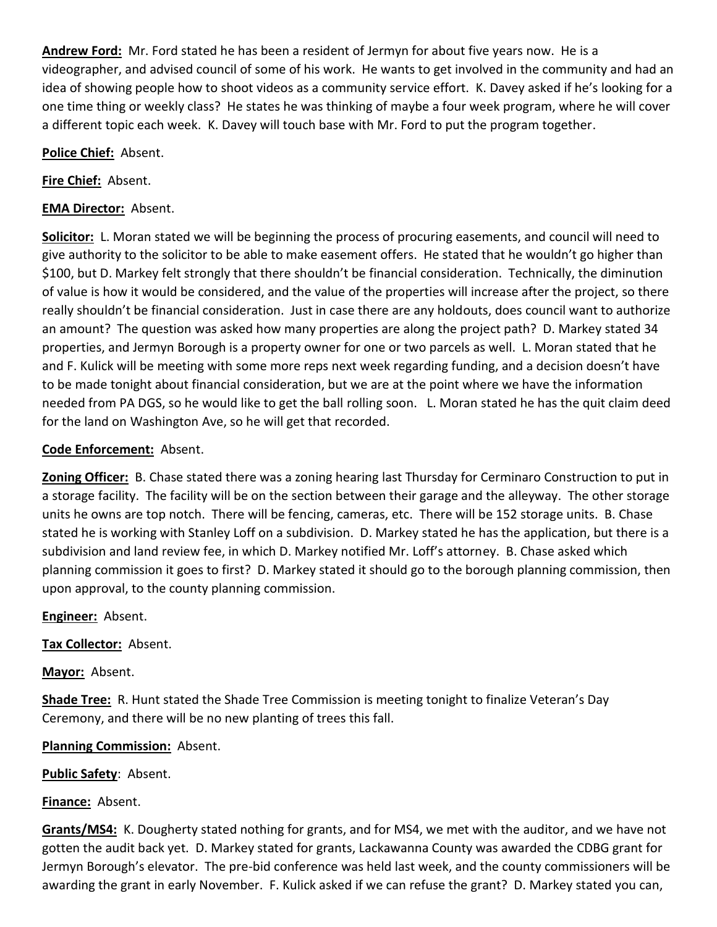**Andrew Ford:** Mr. Ford stated he has been a resident of Jermyn for about five years now. He is a videographer, and advised council of some of his work. He wants to get involved in the community and had an idea of showing people how to shoot videos as a community service effort. K. Davey asked if he's looking for a one time thing or weekly class? He states he was thinking of maybe a four week program, where he will cover a different topic each week. K. Davey will touch base with Mr. Ford to put the program together.

### **Police Chief:** Absent.

**Fire Chief:** Absent.

# **EMA Director:** Absent.

**Solicitor:** L. Moran stated we will be beginning the process of procuring easements, and council will need to give authority to the solicitor to be able to make easement offers. He stated that he wouldn't go higher than \$100, but D. Markey felt strongly that there shouldn't be financial consideration. Technically, the diminution of value is how it would be considered, and the value of the properties will increase after the project, so there really shouldn't be financial consideration. Just in case there are any holdouts, does council want to authorize an amount? The question was asked how many properties are along the project path? D. Markey stated 34 properties, and Jermyn Borough is a property owner for one or two parcels as well. L. Moran stated that he and F. Kulick will be meeting with some more reps next week regarding funding, and a decision doesn't have to be made tonight about financial consideration, but we are at the point where we have the information needed from PA DGS, so he would like to get the ball rolling soon. L. Moran stated he has the quit claim deed for the land on Washington Ave, so he will get that recorded.

## **Code Enforcement:** Absent.

**Zoning Officer:** B. Chase stated there was a zoning hearing last Thursday for Cerminaro Construction to put in a storage facility. The facility will be on the section between their garage and the alleyway. The other storage units he owns are top notch. There will be fencing, cameras, etc. There will be 152 storage units. B. Chase stated he is working with Stanley Loff on a subdivision. D. Markey stated he has the application, but there is a subdivision and land review fee, in which D. Markey notified Mr. Loff's attorney. B. Chase asked which planning commission it goes to first? D. Markey stated it should go to the borough planning commission, then upon approval, to the county planning commission.

**Engineer:** Absent.

**Tax Collector:** Absent.

**Mayor:** Absent.

**Shade Tree:** R. Hunt stated the Shade Tree Commission is meeting tonight to finalize Veteran's Day Ceremony, and there will be no new planting of trees this fall.

**Planning Commission:** Absent.

**Public Safety**: Absent.

**Finance:** Absent.

**Grants/MS4:** K. Dougherty stated nothing for grants, and for MS4, we met with the auditor, and we have not gotten the audit back yet. D. Markey stated for grants, Lackawanna County was awarded the CDBG grant for Jermyn Borough's elevator. The pre-bid conference was held last week, and the county commissioners will be awarding the grant in early November. F. Kulick asked if we can refuse the grant? D. Markey stated you can,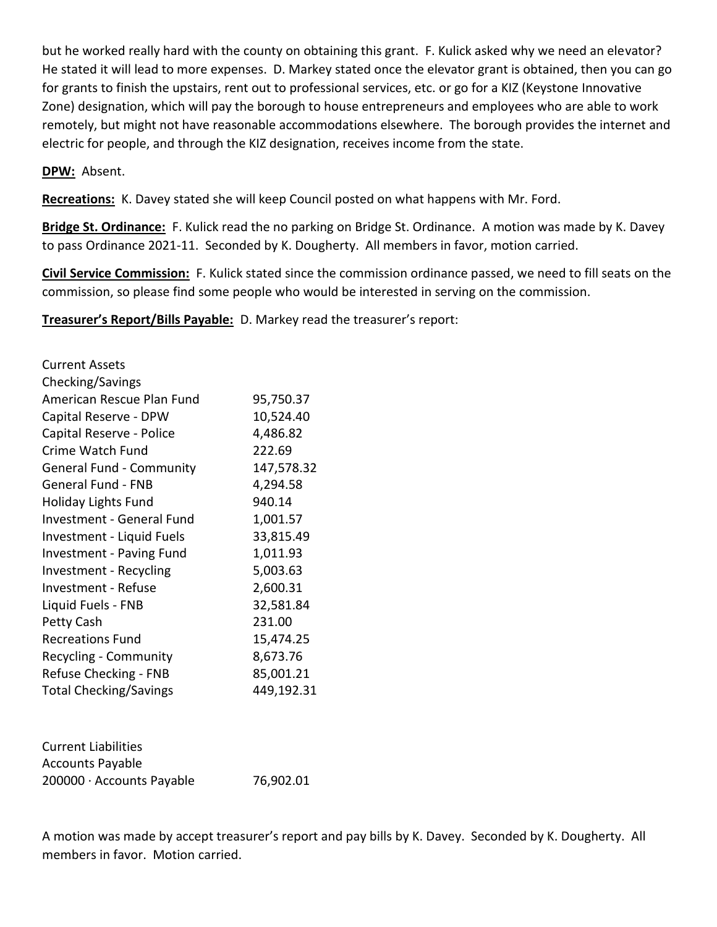but he worked really hard with the county on obtaining this grant. F. Kulick asked why we need an elevator? He stated it will lead to more expenses. D. Markey stated once the elevator grant is obtained, then you can go for grants to finish the upstairs, rent out to professional services, etc. or go for a KIZ (Keystone Innovative Zone) designation, which will pay the borough to house entrepreneurs and employees who are able to work remotely, but might not have reasonable accommodations elsewhere. The borough provides the internet and electric for people, and through the KIZ designation, receives income from the state.

#### **DPW:** Absent.

**Recreations:** K. Davey stated she will keep Council posted on what happens with Mr. Ford.

**Bridge St. Ordinance:** F. Kulick read the no parking on Bridge St. Ordinance. A motion was made by K. Davey to pass Ordinance 2021-11. Seconded by K. Dougherty. All members in favor, motion carried.

**Civil Service Commission:** F. Kulick stated since the commission ordinance passed, we need to fill seats on the commission, so please find some people who would be interested in serving on the commission.

**Treasurer's Report/Bills Payable:** D. Markey read the treasurer's report:

| <b>Current Assets</b>            |            |
|----------------------------------|------------|
| Checking/Savings                 |            |
| American Rescue Plan Fund        | 95,750.37  |
| Capital Reserve - DPW            | 10,524.40  |
| Capital Reserve - Police         | 4,486.82   |
| Crime Watch Fund                 | 222.69     |
| <b>General Fund - Community</b>  | 147,578.32 |
| <b>General Fund - FNB</b>        | 4,294.58   |
| <b>Holiday Lights Fund</b>       | 940.14     |
| <b>Investment - General Fund</b> | 1,001.57   |
| Investment - Liquid Fuels        | 33,815.49  |
| <b>Investment - Paving Fund</b>  | 1,011.93   |
| Investment - Recycling           | 5,003.63   |
| Investment - Refuse              | 2,600.31   |
| Liquid Fuels - FNB               | 32,581.84  |
| Petty Cash                       | 231.00     |
| <b>Recreations Fund</b>          | 15,474.25  |
| Recycling - Community            | 8,673.76   |
| Refuse Checking - FNB            | 85,001.21  |
| <b>Total Checking/Savings</b>    | 449,192.31 |
|                                  |            |
|                                  |            |
|                                  |            |

| <b>Current Liabilities</b> |           |
|----------------------------|-----------|
| <b>Accounts Payable</b>    |           |
| 200000 · Accounts Payable  | 76,902.01 |

A motion was made by accept treasurer's report and pay bills by K. Davey. Seconded by K. Dougherty. All members in favor. Motion carried.